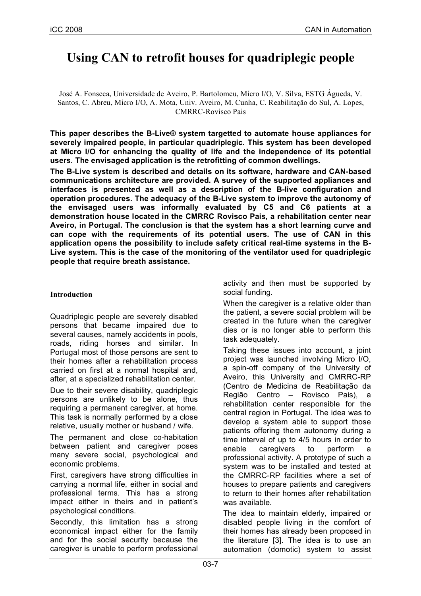# **Using CAN to retrofit houses for quadriplegic people**

José A. Fonseca, Universidade de Aveiro, P. Bartolomeu, Micro I/O, V. Silva, ESTG Águeda, V. Santos, C. Abreu, Micro I/O, A. Mota, Univ. Aveiro, M. Cunha, C. Reabilitação do Sul, A. Lopes, CMRRC-Rovisco Pais

**This paper describes the B-Live® system targetted to automate house appliances for severely impaired people, in particular quadriplegic. This system has been developed at Micro I/O for enhancing the quality of life and the independence of its potential users. The envisaged application is the retrofitting of common dwellings.**

**The B-Live system is described and details on its software, hardware and CAN-based communications architecture are provided. A survey of the supported appliances and interfaces is presented as well as a description of the B-live configuration and operation procedures. The adequacy of the B-Live system to improve the autonomy of the envisaged users was informally evaluated by C5 and C6 patients at a demonstration house located in the CMRRC Rovisco Pais, a rehabilitation center near Aveiro, in Portugal. The conclusion is that the system has a short learning curve and can cope with the requirements of its potential users. The use of CAN in this application opens the possibility to include safety critical real-time systems in the B-Live system. This is the case of the monitoring of the ventilator used for quadriplegic people that require breath assistance.**

## **Introduction**

Quadriplegic people are severely disabled persons that became impaired due to several causes, namely accidents in pools, roads, riding horses and similar. In Portugal most of those persons are sent to their homes after a rehabilitation process carried on first at a normal hospital and, after, at a specialized rehabilitation center.

Due to their severe disability, quadriplegic persons are unlikely to be alone, thus requiring a permanent caregiver, at home. This task is normally performed by a close relative, usually mother or husband / wife.

The permanent and close co-habitation between patient and caregiver poses many severe social, psychological and economic problems.

First, caregivers have strong difficulties in carrying a normal life, either in social and professional terms. This has a strong impact either in theirs and in patient's psychological conditions.

Secondly, this limitation has a strong economical impact either for the family and for the social security because the caregiver is unable to perform professional activity and then must be supported by social funding.

When the caregiver is a relative older than the patient, a severe social problem will be created in the future when the caregiver dies or is no longer able to perform this task adequately.

Taking these issues into account, a joint project was launched involving Micro I/O, a spin-off company of the University of Aveiro, this University and CMRRC-RP (Centro de Medicina de Reabilitação da Região Centro – Rovisco Pais), a rehabilitation center responsible for the central region in Portugal. The idea was to develop a system able to support those patients offering them autonomy during a time interval of up to 4/5 hours in order to enable caregivers to perform a professional activity. A prototype of such a system was to be installed and tested at the CMRRC-RP facilities where a set of houses to prepare patients and caregivers to return to their homes after rehabilitation was available.

The idea to maintain elderly, impaired or disabled people living in the comfort of their homes has already been proposed in the literature [3]. The idea is to use an automation (domotic) system to assist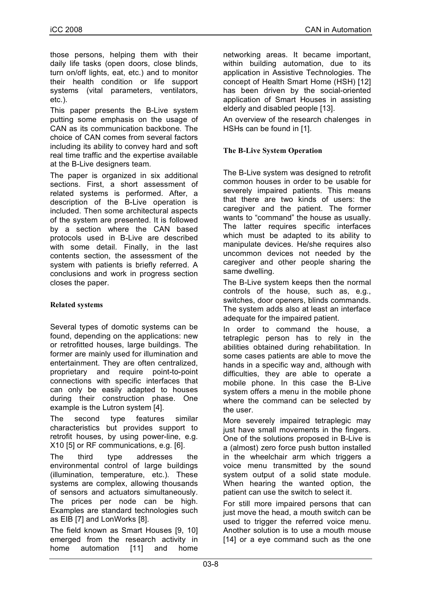those persons, helping them with their daily life tasks (open doors, close blinds, turn on/off lights, eat, etc.) and to monitor their health condition or life support systems (vital parameters, ventilators, etc.).

This paper presents the B-Live system putting some emphasis on the usage of CAN as its communication backbone. The choice of CAN comes from several factors including its ability to convey hard and soft real time traffic and the expertise available at the B-Live designers team.

The paper is organized in six additional sections. First, a short assessment of related systems is performed. After, a description of the B-Live operation is included. Then some architectural aspects of the system are presented. It is followed by a section where the CAN based protocols used in B-Live are described with some detail. Finally, in the last contents section, the assessment of the system with patients is briefly referred. A conclusions and work in progress section closes the paper.

# **Related systems**

Several types of domotic systems can be found, depending on the applications: new or retrofitted houses, large buildings. The former are mainly used for illumination and entertainment. They are often centralized, proprietary and require point-to-point connections with specific interfaces that can only be easily adapted to houses during their construction phase. One example is the Lutron system [4].

The second type features similar characteristics but provides support to retrofit houses, by using power-line, e.g. X10 [5] or RF communications, e.g. [6].

The third type addresses the environmental control of large buildings (illumination, temperature, etc.). These systems are complex, allowing thousands of sensors and actuators simultaneously. The prices per node can be high. Examples are standard technologies such as EIB [7] and LonWorks [8].

The field known as Smart Houses [9, 10] emerged from the research activity in home automation [11] and home networking areas. It became important, within building automation, due to its application in Assistive Technologies. The concept of Health Smart Home (HSH) [12] has been driven by the social-oriented application of Smart Houses in assisting elderly and disabled people [13].

An overview of the research chalenges in HSHs can be found in [1].

## **The B-Live System Operation**

The B-Live system was designed to retrofit common houses in order to be usable for severely impaired patients. This means that there are two kinds of users: the caregiver and the patient. The former wants to "command" the house as usually. The latter requires specific interfaces which must be adapted to its ability to manipulate devices. He/she requires also uncommon devices not needed by the caregiver and other people sharing the same dwelling.

The B-Live system keeps then the normal controls of the house, such as, e.g., switches, door openers, blinds commands. The system adds also at least an interface adequate for the impaired patient.

In order to command the house, a tetraplegic person has to rely in the abilities obtained during rehabilitation. In some cases patients are able to move the hands in a specific way and, although with difficulties, they are able to operate a mobile phone. In this case the B-Live system offers a menu in the mobile phone where the command can be selected by the user.

More severely impaired tetraplegic may just have small movements in the fingers. One of the solutions proposed in B-Live is a (almost) zero force push button installed in the wheelchair arm which triggers a voice menu transmitted by the sound system output of a solid state module. When hearing the wanted option, the patient can use the switch to select it.

For still more impaired persons that can just move the head, a mouth switch can be used to trigger the referred voice menu. Another solution is to use a mouth mouse [14] or a eye command such as the one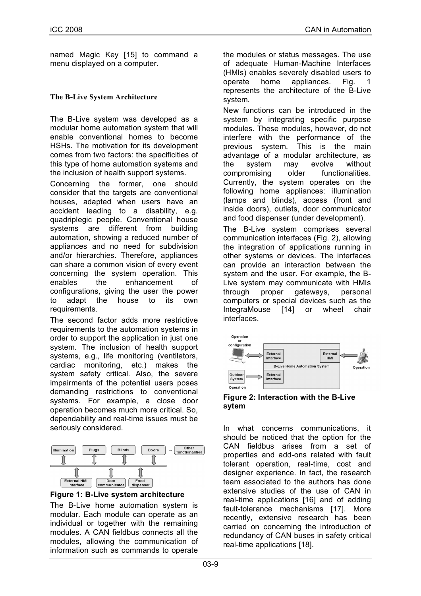named Magic Key [15] to command a menu displayed on a computer.

# **The B-Live System Architecture**

The B-Live system was developed as a modular home automation system that will enable conventional homes to become HSHs. The motivation for its development comes from two factors: the specificities of this type of home automation systems and the inclusion of health support systems.

Concerning the former, one should consider that the targets are conventional houses, adapted when users have an accident leading to a disability, e.g. quadriplegic people. Conventional house systems are different from building automation, showing a reduced number of appliances and no need for subdivision and/or hierarchies. Therefore, appliances can share a common vision of every event concerning the system operation. This enables the enhancement of configurations, giving the user the power to adapt the house to its own requirements.

The second factor adds more restrictive requirements to the automation systems in order to support the application in just one system. The inclusion of health support systems, e.g., life monitoring (ventilators, cardiac monitoring, etc.) makes the system safety critical. Also, the severe impairments of the potential users poses demanding restrictions to conventional systems. For example, a close door operation becomes much more critical. So, dependability and real-time issues must be seriously considered.



**Figure 1: B-Live system architecture**

The B-Live home automation system is modular. Each module can operate as an individual or together with the remaining modules. A CAN fieldbus connects all the modules, allowing the communication of information such as commands to operate

the modules or status messages. The use of adequate Human-Machine Interfaces (HMIs) enables severely disabled users to operate home appliances. Fig. 1 represents the architecture of the B-Live system.

New functions can be introduced in the system by integrating specific purpose modules. These modules, however, do not interfere with the performance of the previous system. This is the main advantage of a modular architecture, as the system may evolve without compromising older functionalities. Currently, the system operates on the following home appliances: illumination (lamps and blinds), access (front and inside doors), outlets, door communicator and food dispenser (under development).

The B-Live system comprises several communication interfaces (Fig. 2), allowing the integration of applications running in other systems or devices. The interfaces can provide an interaction between the system and the user. For example, the B-Live system may communicate with HMIs through proper gateways, personal computers or special devices such as the IntegraMouse [14] or wheel chair interfaces.



**Figure 2: Interaction with the B-Live sytem**

In what concerns communications, it should be noticed that the option for the CAN fieldbus arises from a set of properties and add-ons related with fault tolerant operation, real-time, cost and designer experience. In fact, the research team associated to the authors has done extensive studies of the use of CAN in real-time applications [16] and of adding fault-tolerance mechanisms [17]. More recently, extensive research has been carried on concerning the introduction of redundancy of CAN buses in safety critical real-time applications [18].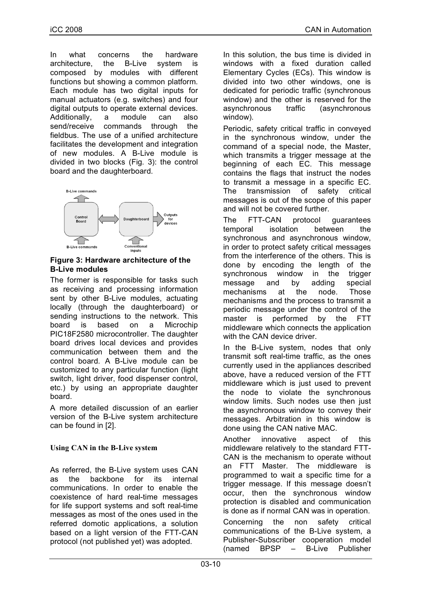In what concerns the hardware architecture, the B-Live system is composed by modules with different functions but showing a common platform. Each module has two digital inputs for manual actuators (e.g. switches) and four digital outputs to operate external devices. Additionally, a module can also send/receive commands through the fieldbus. The use of a unified architecture facilitates the development and integration of new modules. A B-Live module is divided in two blocks (Fig. 3): the control board and the daughterboard.



# **Figure 3: Hardware architecture of the B-Live modules**

The former is responsible for tasks such as receiving and processing information sent by other B-Live modules, actuating locally (through the daughterboard) or sending instructions to the network. This board is based on a Microchip PIC18F2580 microcontroller. The daughter board drives local devices and provides communication between them and the control board. A B-Live module can be customized to any particular function (light switch, light driver, food dispenser control, etc.) by using an appropriate daughter board.

A more detailed discussion of an earlier version of the B-Live system architecture can be found in [2].

# **Using CAN in the B-Live system**

As referred, the B-Live system uses CAN as the backbone for its internal communications. In order to enable the coexistence of hard real-time messages for life support systems and soft real-time messages as most of the ones used in the referred domotic applications, a solution based on a light version of the FTT-CAN protocol (not published yet) was adopted.

In this solution, the bus time is divided in windows with a fixed duration called Elementary Cycles (ECs). This window is divided into two other windows, one is dedicated for periodic traffic (synchronous window) and the other is reserved for the asynchronous traffic (asynchronous window).

Periodic, safety critical traffic in conveyed in the synchronous window, under the command of a special node, the Master, which transmits a trigger message at the beginning of each EC. This message contains the flags that instruct the nodes to transmit a message in a specific EC. The transmission of safety critical messages is out of the scope of this paper and will not be covered further.

The FTT-CAN protocol guarantees temporal isolation between the synchronous and asynchronous window, in order to protect safety critical messages from the interference of the others. This is done by encoding the length of the synchronous window in the trigger message and by adding special mechanisms at the node. Those mechanisms and the process to transmit a periodic message under the control of the master is performed by the FTT middleware which connects the application with the CAN device driver

In the B-Live system, nodes that only transmit soft real-time traffic, as the ones currently used in the appliances described above, have a reduced version of the FTT middleware which is just used to prevent the node to violate the synchronous window limits. Such nodes use then just the asynchronous window to convey their messages. Arbitration in this window is done using the CAN native MAC.

Another innovative aspect of this middleware relatively to the standard FTT-CAN is the mechanism to operate without an FTT Master. The middleware is programmed to wait a specific time for a trigger message. If this message doesn't occur, then the synchronous window protection is disabled and communication is done as if normal CAN was in operation. Concerning the non safety critical communications of the B-Live system, a Publisher-Subscriber cooperation model (named BPSP – B-Live Publisher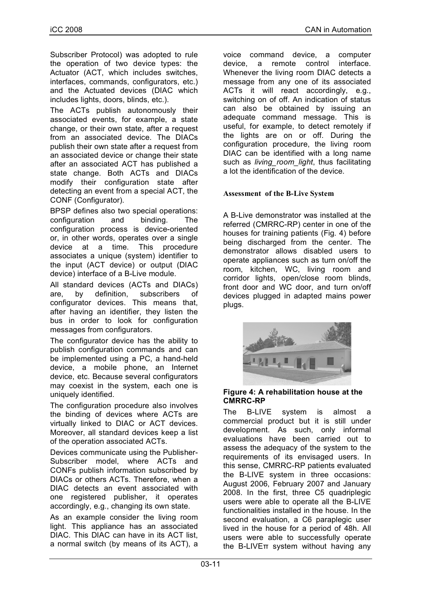Subscriber Protocol) was adopted to rule the operation of two device types: the Actuator (ACT, which includes switches, interfaces, commands, configurators, etc.) and the Actuated devices (DIAC which includes lights, doors, blinds, etc.).

The ACTs publish autonomously their associated events, for example, a state change, or their own state, after a request from an associated device. The DIACs publish their own state after a request from an associated device or change their state after an associated ACT has published a state change. Both ACTs and DIACs modify their configuration state after detecting an event from a special ACT, the CONF (Configurator).

BPSP defines also two special operations: configuration and binding. The configuration process is device-oriented or, in other words, operates over a single device at a time. This procedure associates a unique (system) identifier to the input (ACT device) or output (DIAC device) interface of a B-Live module.

All standard devices (ACTs and DIACs) are, by definition, subscribers of configurator devices. This means that, after having an identifier, they listen the bus in order to look for configuration messages from configurators.

The configurator device has the ability to publish configuration commands and can be implemented using a PC, a hand-held device, a mobile phone, an Internet device, etc. Because several configurators may coexist in the system, each one is uniquely identified.

The configuration procedure also involves the binding of devices where ACTs are virtually linked to DIAC or ACT devices. Moreover, all standard devices keep a list of the operation associated ACTs.

Devices communicate using the Publisher-Subscriber model, where ACTs and CONFs publish information subscribed by DIACs or others ACTs. Therefore, when a DIAC detects an event associated with one registered publisher, it operates accordingly, e.g., changing its own state.

As an example consider the living room light. This appliance has an associated DIAC. This DIAC can have in its ACT list, a normal switch (by means of its ACT), a

voice command device, a computer device, a remote control interface. Whenever the living room DIAC detects a message from any one of its associated ACTs it will react accordingly, e.g., switching on of off. An indication of status can also be obtained by issuing an adequate command message. This is useful, for example, to detect remotely if the lights are on or off. During the configuration procedure, the living room DIAC can be identified with a long name such as *living\_room\_light*, thus facilitating a lot the identification of the device.

#### **Assessment of the B-Live System**

A B-Live demonstrator was installed at the referred (CMRRC-RP) center in one of the houses for training patients (Fig. 4) before being discharged from the center. The demonstrator allows disabled users to operate appliances such as turn on/off the room, kitchen, WC, living room and corridor lights, open/close room blinds, front door and WC door, and turn on/off devices plugged in adapted mains power plugs.



#### **Figure 4: A rehabilitation house at the CMRRC-RP**

The B-LIVE system is almost a commercial product but it is still under development. As such, only informal evaluations have been carried out to assess the adequacy of the system to the requirements of its envisaged users. In this sense, CMRRC-RP patients evaluated the B-LIVE system in three occasions: August 2006, February 2007 and January 2008. In the first, three C5 quadriplegic users were able to operate all the B-LIVE functionalities installed in the house. In the second evaluation, a C6 paraplegic user lived in the house for a period of 48h. All users were able to successfully operate the B-LIVEπ system without having any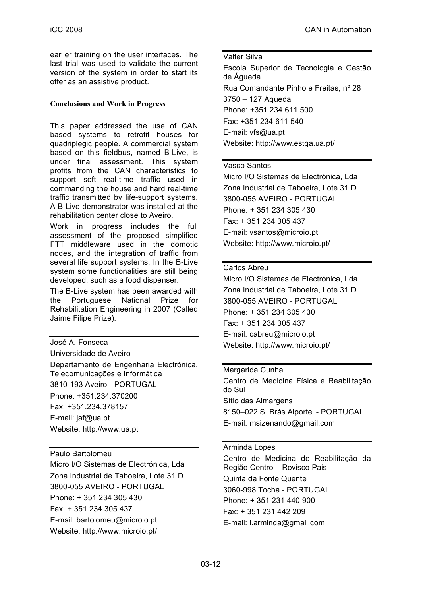earlier training on the user interfaces. The last trial was used to validate the current version of the system in order to start its offer as an assistive product.

# **Conclusions and Work in Progress**

This paper addressed the use of CAN based systems to retrofit houses for quadriplegic people. A commercial system based on this fieldbus, named B-Live, is under final assessment. This system profits from the CAN characteristics to support soft real-time traffic used in commanding the house and hard real-time traffic transmitted by life-support systems. A B-Live demonstrator was installed at the rehabilitation center close to Aveiro.

Work in progress includes the full assessment of the proposed simplified FTT middleware used in the domotic nodes, and the integration of traffic from several life support systems. In the B-Live system some functionalities are still being developed, such as a food dispenser.

The B-Live system has been awarded with the Portuguese National Prize for Rehabilitation Engineering in 2007 (Called Jaime Filipe Prize).

José A. Fonseca Universidade de Aveiro Departamento de Engenharia Electrónica, Telecomunicações e Informática 3810-193 Aveiro - PORTUGAL Phone: +351.234.370200 Fax: +351.234.378157 E-mail: jaf@ua.pt Website: http://www.ua.pt

## Paulo Bartolomeu

Micro I/O Sistemas de Electrónica, Lda Zona Industrial de Taboeira, Lote 31 D 3800-055 AVEIRO - PORTUGAL Phone: + 351 234 305 430 Fax: + 351 234 305 437 E-mail: bartolomeu@microio.pt Website: http://www.microio.pt/

#### Valter Silva

Escola Superior de Tecnologia e Gestão de Águeda Rua Comandante Pinho e Freitas, nº 28 3750 – 127 Águeda Phone: +351 234 611 500 Fax: +351 234 611 540 E-mail: vfs@ua.pt Website: http://www.estga.ua.pt/

## Vasco Santos

Micro I/O Sistemas de Electrónica, Lda Zona Industrial de Taboeira, Lote 31 D 3800-055 AVEIRO - PORTUGAL Phone: + 351 234 305 430 Fax: + 351 234 305 437 E-mail: vsantos@microio.pt Website: http://www.microio.pt/

## Carlos Abreu

Micro I/O Sistemas de Electrónica, Lda Zona Industrial de Taboeira, Lote 31 D 3800-055 AVEIRO - PORTUGAL Phone: + 351 234 305 430 Fax: + 351 234 305 437 E-mail: cabreu@microio.pt Website: http://www.microio.pt/

## Margarida Cunha

Centro de Medicina Física e Reabilitação do Sul Sítio das Almargens 8150–022 S. Brás Alportel - PORTUGAL E-mail: msizenando@gmail.com

## Arminda Lopes

Centro de Medicina de Reabilitação da Região Centro – Rovisco Pais Quinta da Fonte Quente 3060-998 Tocha - PORTUGAL Phone: + 351 231 440 900 Fax: + 351 231 442 209 E-mail: l.arminda@gmail.com